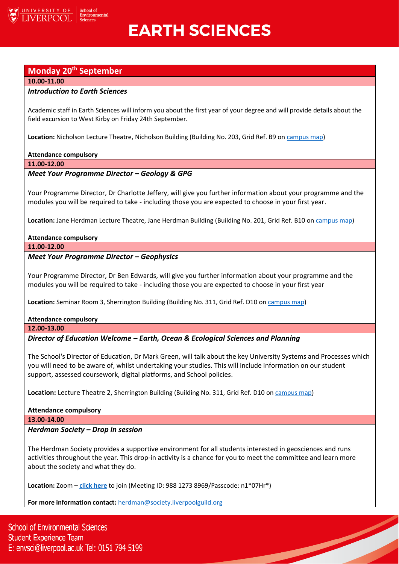

# **EARTH SCIENCES**

# **Monday 20th September**

#### **10.00-11.00**

# *Introduction to Earth Sciences*

Academic staff in Earth Sciences will inform you about the first year of your degree and will provide details about the field excursion to West Kirby on Friday 24th September.

**Location:** Nicholson Lecture Theatre, Nicholson Building (Building No. 203, Grid Ref. B9 o[n campus map\)](https://www.liverpool.ac.uk/media/livacuk/maps/Campus,Map,2020_0903.pdf)

# **Attendance compulsory**

**11.00-12.00**

# *Meet Your Programme Director – Geology & GPG*

Your Programme Director, Dr Charlotte Jeffery, will give you further information about your programme and the modules you will be required to take - including those you are expected to choose in your first year.

**Location:** Jane Herdman Lecture Theatre, Jane Herdman Building (Building No. 201, Grid Ref. B10 on [campus map\)](https://www.liverpool.ac.uk/media/livacuk/maps/Campus,Map,2020_0903.pdf)

# **Attendance compulsory**

**11.00-12.00**

# *Meet Your Programme Director – Geophysics*

Your Programme Director, Dr Ben Edwards, will give you further information about your programme and the modules you will be required to take - including those you are expected to choose in your first year

**Location:** Seminar Room 3, Sherrington Building (Building No. 311, Grid Ref. D10 on [campus map\)](https://www.liverpool.ac.uk/media/livacuk/maps/Campus,Map,2020_0903.pdf)

# **Attendance compulsory**

**12.00-13.00**

*Director of Education Welcome – Earth, Ocean & Ecological Sciences and Planning* 

The School's Director of Education, Dr Mark Green, will talk about the key University Systems and Processes which you will need to be aware of, whilst undertaking your studies. This will include information on our student support, assessed coursework, digital platforms, and School policies.

**Location:** Lecture Theatre 2, Sherrington Building (Building No. 311, Grid Ref. D10 on [campus map\)](https://www.liverpool.ac.uk/media/livacuk/maps/Campus,Map,2020_0903.pdf)

# **Attendance compulsory**

**13.00-14.00**

# *Herdman Society – Drop in session*

The Herdman Society provides a supportive environment for all students interested in geosciences and runs activities throughout the year. This drop-in activity is a chance for you to meet the committee and learn more about the society and what they do.

<u>Singlet Contract Contract Contract Contract Contract Contract Contract Contract Contract Contract Contract Co</u>

**Location:** Zoom – **[click here](https://liverpool-ac-uk.zoom.us/j/98812738969?pwd=d3kzdWkzVy9ZM2kxYWt3NHRGQnlDZz09)** to join (Meeting ID: 988 1273 8969/Passcode: n1\*07Hr\*)

**For more information contact:** [herdman@society.liverpoolguild.org](mailto:herdman@society.liverpoolguild.org)

**School of Environmental Sciences Student Experience Team** E: envsci@liverpool.ac.uk Tel: 0151 794 5199